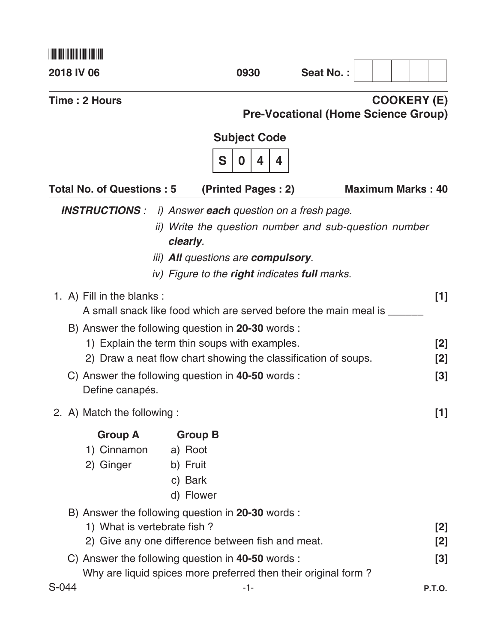| 2018 IV 06                                 |                                                                                                                                       | 0930                                                                                                                                                                                                                          | Seat No.: |                                                                  |
|--------------------------------------------|---------------------------------------------------------------------------------------------------------------------------------------|-------------------------------------------------------------------------------------------------------------------------------------------------------------------------------------------------------------------------------|-----------|------------------------------------------------------------------|
| Time: 2 Hours                              |                                                                                                                                       |                                                                                                                                                                                                                               |           | <b>COOKERY (E)</b><br><b>Pre-Vocational (Home Science Group)</b> |
|                                            |                                                                                                                                       | <b>Subject Code</b>                                                                                                                                                                                                           |           |                                                                  |
|                                            |                                                                                                                                       | S<br>0<br>4<br>4                                                                                                                                                                                                              |           |                                                                  |
| <b>Total No. of Questions: 5</b>           |                                                                                                                                       | (Printed Pages: 2)                                                                                                                                                                                                            |           | <b>Maximum Marks: 40</b>                                         |
| <b>INSTRUCTIONS:</b>                       | clearly.                                                                                                                              | i) Answer each question on a fresh page.<br>ii) Write the question number and sub-question number<br><i>iii</i> ) <b>All</b> questions are <b>compulsory</b> .<br>iv) Figure to the <b>right</b> indicates <b>full</b> marks. |           |                                                                  |
| 1. A) Fill in the blanks:                  | A small snack like food which are served before the main meal is __                                                                   |                                                                                                                                                                                                                               |           | [1]                                                              |
|                                            | B) Answer the following question in 20-30 words :                                                                                     |                                                                                                                                                                                                                               |           |                                                                  |
|                                            | 1) Explain the term thin soups with examples.<br>2) Draw a neat flow chart showing the classification of soups.                       |                                                                                                                                                                                                                               |           | [2]<br>[2]                                                       |
| Define canapés.                            | C) Answer the following question in 40-50 words :                                                                                     |                                                                                                                                                                                                                               |           | $[3]$                                                            |
| 2. A) Match the following:                 |                                                                                                                                       |                                                                                                                                                                                                                               |           | $[1]$                                                            |
| <b>Group A</b><br>1) Cinnamon<br>2) Ginger | <b>Group B</b><br>a) Root<br>b) Fruit<br>c) Bark<br>d) Flower                                                                         |                                                                                                                                                                                                                               |           |                                                                  |
|                                            | B) Answer the following question in 20-30 words :<br>1) What is vertebrate fish?<br>2) Give any one difference between fish and meat. |                                                                                                                                                                                                                               |           | $[2]$<br>[2]                                                     |
|                                            | C) Answer the following question in 40-50 words :                                                                                     |                                                                                                                                                                                                                               |           | $[3]$                                                            |
|                                            | Why are liquid spices more preferred then their original form?                                                                        |                                                                                                                                                                                                                               |           |                                                                  |
| S-044                                      |                                                                                                                                       | $-1-$                                                                                                                                                                                                                         |           | <b>P.T.O.</b>                                                    |